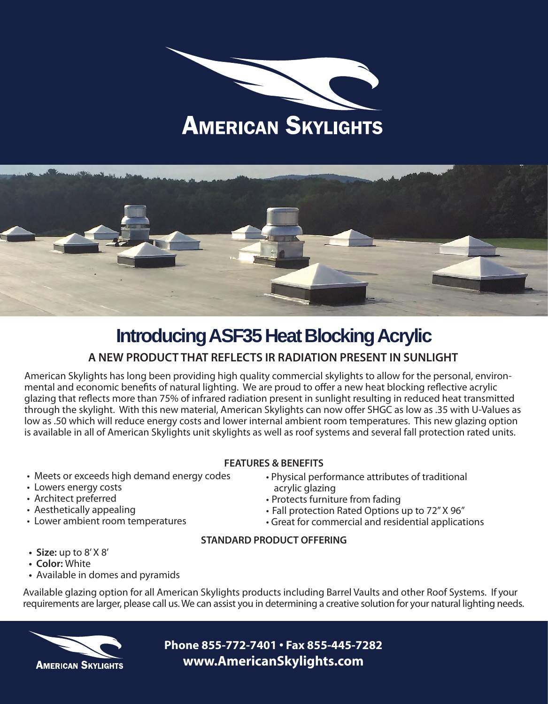# **AMERICAN SKYLIGHTS**



### **Introducing ASF35 Heat Blocking Acrylic**

### **A NEW PRODUCT THAT REFLECTS IR RADIATION PRESENT IN SUNLIGHT**

American Skylights has long been providing high quality commercial skylights to allow for the personal, environmental and economic benefits of natural lighting. We are proud to offer a new heat blocking reflective acrylic glazing that reflects more than 75% of infrared radiation present in sunlight resulting in reduced heat transmitted through the skylight. With this new material, American Skylights can now offer SHGC as low as .35 with U-Values as low as .50 which will reduce energy costs and lower internal ambient room temperatures. This new glazing option is available in all of American Skylights unit skylights as well as roof systems and several fall protection rated units.

- **FEATURES & BENEFITS**
- Meets or exceeds high demand energy codes
- Lowers energy costs
- Architect preferred
- Aesthetically appealing
- Lower ambient room temperatures
- Physical performance attributes of traditional acrylic glazing
- Protects furniture from fading
- Fall protection Rated Options up to 72" X 96"
- Great for commercial and residential applications

#### **STANDARD PRODUCT OFFERING**

- **• Size:** up to 8' X 8'
- **• Color:** White
- **•** Available in domes and pyramids

Available glazing option for all American Skylights products including Barrel Vaults and other Roof Systems. If your requirements are larger, please call us. We can assist you in determining a creative solution for your natural lighting needs.



**Phone 855-772-7401 • Fax 855-445-7282 www.AmericanSkylights.com**